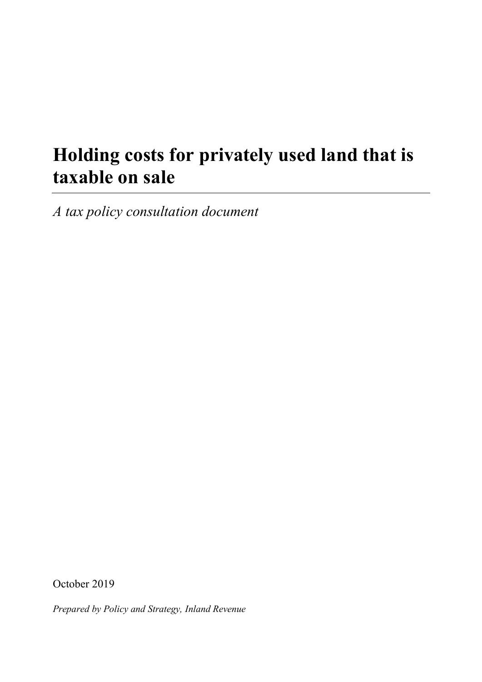# **Holding costs for privately used land that is taxable on sale**

*A tax policy consultation document*

October 2019

*Prepared by Policy and Strategy, Inland Revenue*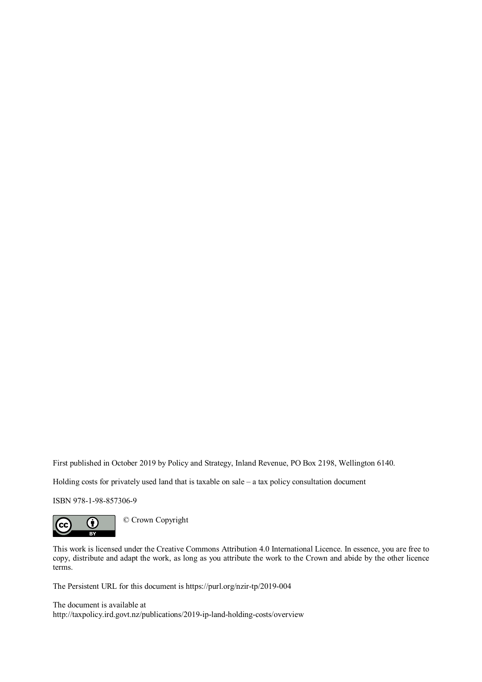First published in October 2019 by Policy and Strategy, Inland Revenue, PO Box 2198, Wellington 6140.

Holding costs for privately used land that is taxable on sale – a tax policy consultation document

ISBN 978-1-98-857306-9



This work is licensed under the Creative Commons Attribution 4.0 International Licence. In essence, you are free to copy, distribute and adapt the work, as long as you attribute the work to the Crown and abide by the other licence terms.

The Persistent URL for this document i[s https://purl.org/nzir-tp/2019-004](https://purl.org/nzir-tp/2019-004)

The document is available at <http://taxpolicy.ird.govt.nz/publications/2019-ip-land-holding-costs/overview>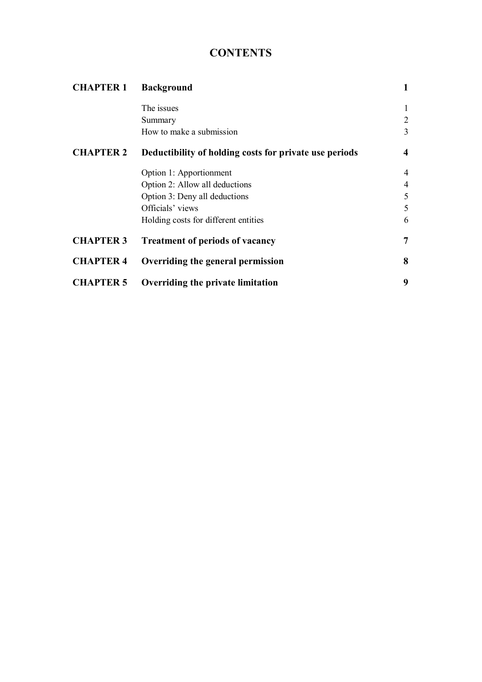# **CONTENTS**

| <b>CHAPTER 1</b> | <b>Background</b>                                      |                         |
|------------------|--------------------------------------------------------|-------------------------|
|                  | The issues                                             | 1                       |
|                  | Summary                                                | 2                       |
|                  | How to make a submission                               | 3                       |
| <b>CHAPTER 2</b> | Deductibility of holding costs for private use periods | $\overline{\mathbf{4}}$ |
|                  | Option 1: Apportionment                                | $\overline{4}$          |
|                  | Option 2: Allow all deductions                         | 4                       |
|                  | Option 3: Deny all deductions                          | 5                       |
|                  | Officials' views                                       | 5                       |
|                  | Holding costs for different entities                   | 6                       |
| <b>CHAPTER 3</b> | <b>Treatment of periods of vacancy</b>                 | 7                       |
| <b>CHAPTER 4</b> | Overriding the general permission                      | 8                       |
| <b>CHAPTER 5</b> | Overriding the private limitation                      | 9                       |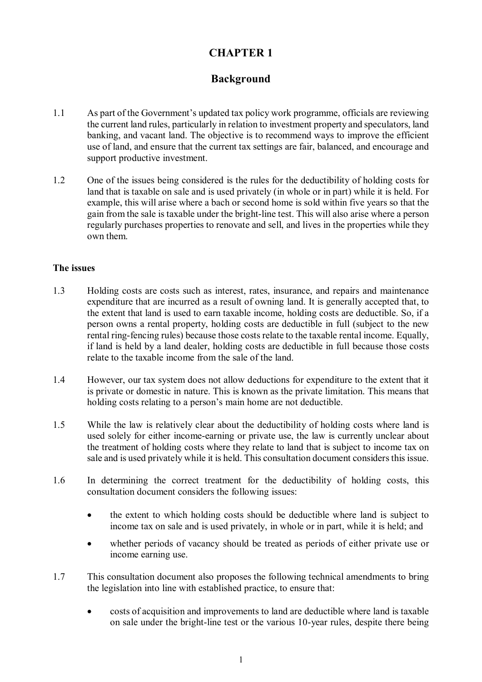## **Background**

- 1.1 As part of the Government's updated tax policy work programme, officials are reviewing the current land rules, particularly in relation to investment property and speculators, land banking, and vacant land. The objective is to recommend ways to improve the efficient use of land, and ensure that the current tax settings are fair, balanced, and encourage and support productive investment.
- 1.2 One of the issues being considered is the rules for the deductibility of holding costs for land that is taxable on sale and is used privately (in whole or in part) while it is held. For example, this will arise where a bach or second home is sold within five years so that the gain from the sale is taxable under the bright-line test. This will also arise where a person regularly purchases properties to renovate and sell, and lives in the properties while they own them.

#### **The issues**

- 1.3 Holding costs are costs such as interest, rates, insurance, and repairs and maintenance expenditure that are incurred as a result of owning land. It is generally accepted that, to the extent that land is used to earn taxable income, holding costs are deductible. So, if a person owns a rental property, holding costs are deductible in full (subject to the new rental ring-fencing rules) because those costs relate to the taxable rental income. Equally, if land is held by a land dealer, holding costs are deductible in full because those costs relate to the taxable income from the sale of the land.
- 1.4 However, our tax system does not allow deductions for expenditure to the extent that it is private or domestic in nature. This is known as the private limitation. This means that holding costs relating to a person's main home are not deductible.
- 1.5 While the law is relatively clear about the deductibility of holding costs where land is used solely for either income-earning or private use, the law is currently unclear about the treatment of holding costs where they relate to land that is subject to income tax on sale and is used privately while it is held. This consultation document considers this issue.
- 1.6 In determining the correct treatment for the deductibility of holding costs, this consultation document considers the following issues:
	- the extent to which holding costs should be deductible where land is subject to income tax on sale and is used privately, in whole or in part, while it is held; and
	- whether periods of vacancy should be treated as periods of either private use or income earning use.
- 1.7 This consultation document also proposes the following technical amendments to bring the legislation into line with established practice, to ensure that:
	- costs of acquisition and improvements to land are deductible where land is taxable on sale under the bright-line test or the various 10-year rules, despite there being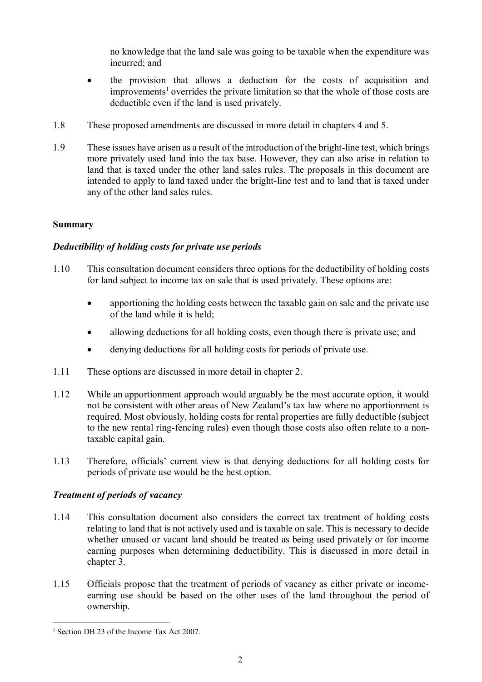no knowledge that the land sale was going to be taxable when the expenditure was incurred; and

- the provision that allows a deduction for the costs of acquisition and improvements<sup>[1](#page-5-0)</sup> overrides the private limitation so that the whole of those costs are deductible even if the land is used privately.
- 1.8 These proposed amendments are discussed in more detail in chapters 4 and 5.
- 1.9 These issues have arisen as a result of the introduction of the bright-line test, which brings more privately used land into the tax base. However, they can also arise in relation to land that is taxed under the other land sales rules. The proposals in this document are intended to apply to land taxed under the bright-line test and to land that is taxed under any of the other land sales rules.

#### **Summary**

#### *Deductibility of holding costs for private use periods*

- 1.10 This consultation document considers three options for the deductibility of holding costs for land subject to income tax on sale that is used privately. These options are:
	- apportioning the holding costs between the taxable gain on sale and the private use of the land while it is held;
	- allowing deductions for all holding costs, even though there is private use; and
	- denying deductions for all holding costs for periods of private use.
- 1.11 These options are discussed in more detail in chapter 2.
- 1.12 While an apportionment approach would arguably be the most accurate option, it would not be consistent with other areas of New Zealand's tax law where no apportionment is required. Most obviously, holding costs for rental properties are fully deductible (subject to the new rental ring-fencing rules) even though those costs also often relate to a nontaxable capital gain.
- 1.13 Therefore, officials' current view is that denying deductions for all holding costs for periods of private use would be the best option.

#### *Treatment of periods of vacancy*

- 1.14 This consultation document also considers the correct tax treatment of holding costs relating to land that is not actively used and is taxable on sale. This is necessary to decide whether unused or vacant land should be treated as being used privately or for income earning purposes when determining deductibility. This is discussed in more detail in chapter 3.
- 1.15 Officials propose that the treatment of periods of vacancy as either private or incomeearning use should be based on the other uses of the land throughout the period of ownership.

<span id="page-5-0"></span><sup>&</sup>lt;sup>1</sup> Section DB 23 of the Income Tax Act 2007.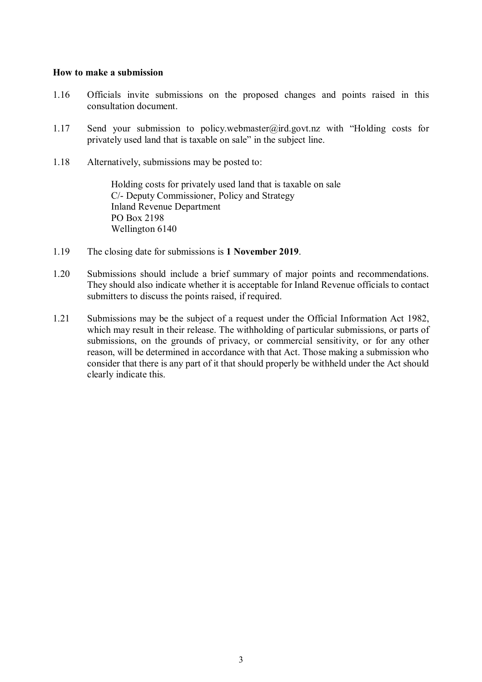#### **How to make a submission**

- 1.16 Officials invite submissions on the proposed changes and points raised in this consultation document.
- 1.17 Send your submission to policy.webmaster@ird.govt.nz with "Holding costs for privately used land that is taxable on sale" in the subject line.
- 1.18 Alternatively, submissions may be posted to:

Holding costs for privately used land that is taxable on sale C/- Deputy Commissioner, Policy and Strategy Inland Revenue Department PO Box 2198 Wellington 6140

- 1.19 The closing date for submissions is **1 November 2019**.
- 1.20 Submissions should include a brief summary of major points and recommendations. They should also indicate whether it is acceptable for Inland Revenue officials to contact submitters to discuss the points raised, if required.
- 1.21 Submissions may be the subject of a request under the Official Information Act 1982, which may result in their release. The withholding of particular submissions, or parts of submissions, on the grounds of privacy, or commercial sensitivity, or for any other reason, will be determined in accordance with that Act. Those making a submission who consider that there is any part of it that should properly be withheld under the Act should clearly indicate this.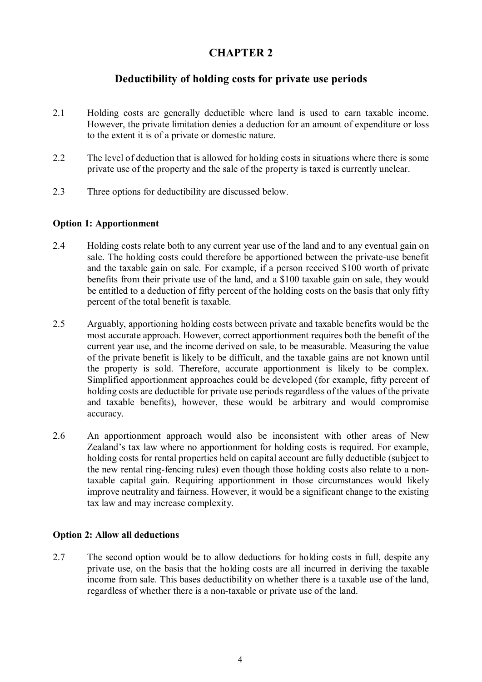## **Deductibility of holding costs for private use periods**

- 2.1 Holding costs are generally deductible where land is used to earn taxable income. However, the private limitation denies a deduction for an amount of expenditure or loss to the extent it is of a private or domestic nature.
- 2.2 The level of deduction that is allowed for holding costs in situations where there is some private use of the property and the sale of the property is taxed is currently unclear.
- 2.3 Three options for deductibility are discussed below.

#### **Option 1: Apportionment**

- 2.4 Holding costs relate both to any current year use of the land and to any eventual gain on sale. The holding costs could therefore be apportioned between the private-use benefit and the taxable gain on sale. For example, if a person received \$100 worth of private benefits from their private use of the land, and a \$100 taxable gain on sale, they would be entitled to a deduction of fifty percent of the holding costs on the basis that only fifty percent of the total benefit is taxable.
- 2.5 Arguably, apportioning holding costs between private and taxable benefits would be the most accurate approach. However, correct apportionment requires both the benefit of the current year use, and the income derived on sale, to be measurable. Measuring the value of the private benefit is likely to be difficult, and the taxable gains are not known until the property is sold. Therefore, accurate apportionment is likely to be complex. Simplified apportionment approaches could be developed (for example, fifty percent of holding costs are deductible for private use periods regardless of the values of the private and taxable benefits), however, these would be arbitrary and would compromise accuracy.
- 2.6 An apportionment approach would also be inconsistent with other areas of New Zealand's tax law where no apportionment for holding costs is required. For example, holding costs for rental properties held on capital account are fully deductible (subject to the new rental ring-fencing rules) even though those holding costs also relate to a nontaxable capital gain. Requiring apportionment in those circumstances would likely improve neutrality and fairness. However, it would be a significant change to the existing tax law and may increase complexity.

#### **Option 2: Allow all deductions**

2.7 The second option would be to allow deductions for holding costs in full, despite any private use, on the basis that the holding costs are all incurred in deriving the taxable income from sale. This bases deductibility on whether there is a taxable use of the land, regardless of whether there is a non-taxable or private use of the land.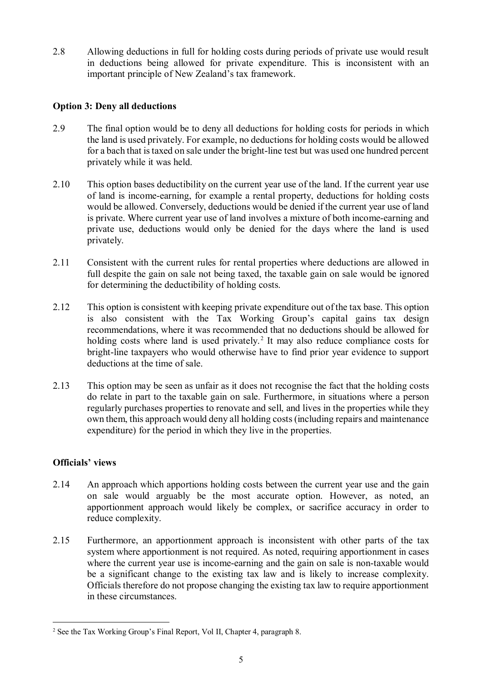2.8 Allowing deductions in full for holding costs during periods of private use would result in deductions being allowed for private expenditure. This is inconsistent with an important principle of New Zealand's tax framework.

#### **Option 3: Deny all deductions**

- 2.9 The final option would be to deny all deductions for holding costs for periods in which the land is used privately. For example, no deductions for holding costs would be allowed for a bach that is taxed on sale under the bright-line test but was used one hundred percent privately while it was held.
- 2.10 This option bases deductibility on the current year use of the land. If the current year use of land is income-earning, for example a rental property, deductions for holding costs would be allowed. Conversely, deductions would be denied if the current year use of land is private. Where current year use of land involves a mixture of both income-earning and private use, deductions would only be denied for the days where the land is used privately.
- 2.11 Consistent with the current rules for rental properties where deductions are allowed in full despite the gain on sale not being taxed, the taxable gain on sale would be ignored for determining the deductibility of holding costs.
- 2.12 This option is consistent with keeping private expenditure out of the tax base. This option is also consistent with the Tax Working Group's capital gains tax design recommendations, where it was recommended that no deductions should be allowed for holding costs where land is used privately.<sup>[2](#page-8-0)</sup> It may also reduce compliance costs for bright-line taxpayers who would otherwise have to find prior year evidence to support deductions at the time of sale.
- 2.13 This option may be seen as unfair as it does not recognise the fact that the holding costs do relate in part to the taxable gain on sale. Furthermore, in situations where a person regularly purchases properties to renovate and sell, and lives in the properties while they own them, this approach would deny all holding costs (including repairs and maintenance expenditure) for the period in which they live in the properties.

#### **Officials' views**

- 2.14 An approach which apportions holding costs between the current year use and the gain on sale would arguably be the most accurate option. However, as noted, an apportionment approach would likely be complex, or sacrifice accuracy in order to reduce complexity.
- 2.15 Furthermore, an apportionment approach is inconsistent with other parts of the tax system where apportionment is not required. As noted, requiring apportionment in cases where the current year use is income-earning and the gain on sale is non-taxable would be a significant change to the existing tax law and is likely to increase complexity. Officials therefore do not propose changing the existing tax law to require apportionment in these circumstances.

<span id="page-8-0"></span> <sup>2</sup> See the Tax Working Group's Final Report, Vol II, Chapter 4, paragraph 8.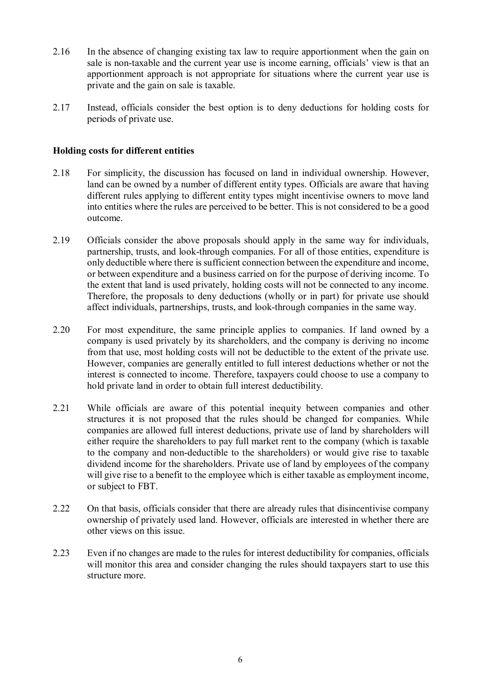- 2.16 In the absence of changing existing tax law to require apportionment when the gain on sale is non-taxable and the current year use is income earning, officials' view is that an apportionment approach is not appropriate for situations where the current year use is private and the gain on sale is taxable.
- 2.17 Instead, officials consider the best option is to deny deductions for holding costs for periods of private use.

#### **Holding costs for different entities**

- 2.18 For simplicity, the discussion has focused on land in individual ownership. However, land can be owned by a number of different entity types. Officials are aware that having different rules applying to different entity types might incentivise owners to move land into entities where the rules are perceived to be better. This is not considered to be a good outcome.
- 2.19 Officials consider the above proposals should apply in the same way for individuals, partnership, trusts, and look-through companies. For all of those entities, expenditure is only deductible where there is sufficient connection between the expenditure and income, or between expenditure and a business carried on for the purpose of deriving income. To the extent that land is used privately, holding costs will not be connected to any income. Therefore, the proposals to deny deductions (wholly or in part) for private use should affect individuals, partnerships, trusts, and look-through companies in the same way.
- 2.20 For most expenditure, the same principle applies to companies. If land owned by a company is used privately by its shareholders, and the company is deriving no income from that use, most holding costs will not be deductible to the extent of the private use. However, companies are generally entitled to full interest deductions whether or not the interest is connected to income. Therefore, taxpayers could choose to use a company to hold private land in order to obtain full interest deductibility.
- 2.21 While officials are aware of this potential inequity between companies and other structures it is not proposed that the rules should be changed for companies. While companies are allowed full interest deductions, private use of land by shareholders will either require the shareholders to pay full market rent to the company (which is taxable to the company and non-deductible to the shareholders) or would give rise to taxable dividend income for the shareholders. Private use of land by employees of the company will give rise to a benefit to the employee which is either taxable as employment income, or subject to FBT.
- 2.22 On that basis, officials consider that there are already rules that disincentivise company ownership of privately used land. However, officials are interested in whether there are other views on this issue.
- 2.23 Even if no changes are made to the rules for interest deductibility for companies, officials will monitor this area and consider changing the rules should taxpayers start to use this structure more.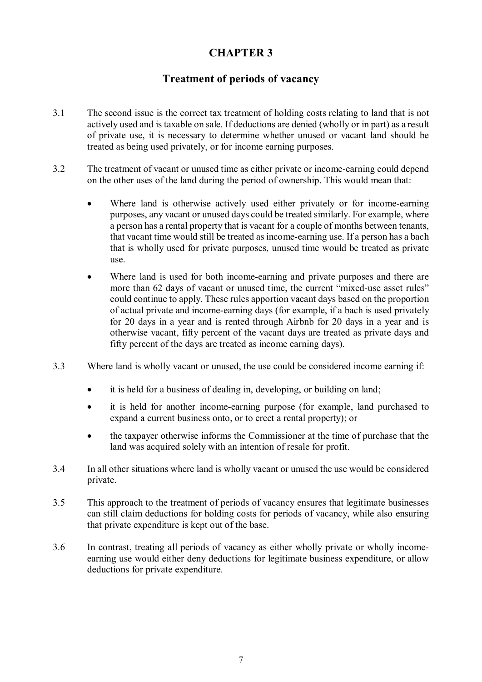## **Treatment of periods of vacancy**

- 3.1 The second issue is the correct tax treatment of holding costs relating to land that is not actively used and is taxable on sale. If deductions are denied (wholly or in part) as a result of private use, it is necessary to determine whether unused or vacant land should be treated as being used privately, or for income earning purposes.
- 3.2 The treatment of vacant or unused time as either private or income-earning could depend on the other uses of the land during the period of ownership. This would mean that:
	- Where land is otherwise actively used either privately or for income-earning purposes, any vacant or unused days could be treated similarly. For example, where a person has a rental property that is vacant for a couple of months between tenants, that vacant time would still be treated as income-earning use. If a person has a bach that is wholly used for private purposes, unused time would be treated as private use.
	- Where land is used for both income-earning and private purposes and there are more than 62 days of vacant or unused time, the current "mixed-use asset rules" could continue to apply. These rules apportion vacant days based on the proportion of actual private and income-earning days (for example, if a bach is used privately for 20 days in a year and is rented through Airbnb for 20 days in a year and is otherwise vacant, fifty percent of the vacant days are treated as private days and fifty percent of the days are treated as income earning days).
- 3.3 Where land is wholly vacant or unused, the use could be considered income earning if:
	- it is held for a business of dealing in, developing, or building on land;
	- it is held for another income-earning purpose (for example, land purchased to expand a current business onto, or to erect a rental property); or
	- the taxpayer otherwise informs the Commissioner at the time of purchase that the land was acquired solely with an intention of resale for profit.
- 3.4 In all other situations where land is wholly vacant or unused the use would be considered private.
- 3.5 This approach to the treatment of periods of vacancy ensures that legitimate businesses can still claim deductions for holding costs for periods of vacancy, while also ensuring that private expenditure is kept out of the base.
- 3.6 In contrast, treating all periods of vacancy as either wholly private or wholly incomeearning use would either deny deductions for legitimate business expenditure, or allow deductions for private expenditure.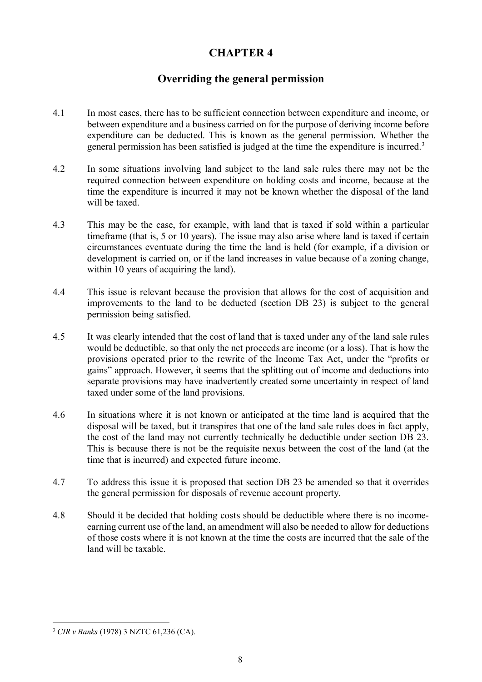## **Overriding the general permission**

- 4.1 In most cases, there has to be sufficient connection between expenditure and income, or between expenditure and a business carried on for the purpose of deriving income before expenditure can be deducted. This is known as the general permission. Whether the general permission has been satisfied is judged at the time the expenditure is incurred.[3](#page-11-0)
- 4.2 In some situations involving land subject to the land sale rules there may not be the required connection between expenditure on holding costs and income, because at the time the expenditure is incurred it may not be known whether the disposal of the land will be taxed.
- 4.3 This may be the case, for example, with land that is taxed if sold within a particular timeframe (that is, 5 or 10 years). The issue may also arise where land is taxed if certain circumstances eventuate during the time the land is held (for example, if a division or development is carried on, or if the land increases in value because of a zoning change, within 10 years of acquiring the land).
- 4.4 This issue is relevant because the provision that allows for the cost of acquisition and improvements to the land to be deducted (section DB 23) is subject to the general permission being satisfied.
- 4.5 It was clearly intended that the cost of land that is taxed under any of the land sale rules would be deductible, so that only the net proceeds are income (or a loss). That is how the provisions operated prior to the rewrite of the Income Tax Act, under the "profits or gains" approach. However, it seems that the splitting out of income and deductions into separate provisions may have inadvertently created some uncertainty in respect of land taxed under some of the land provisions.
- 4.6 In situations where it is not known or anticipated at the time land is acquired that the disposal will be taxed, but it transpires that one of the land sale rules does in fact apply, the cost of the land may not currently technically be deductible under section DB 23. This is because there is not be the requisite nexus between the cost of the land (at the time that is incurred) and expected future income.
- 4.7 To address this issue it is proposed that section DB 23 be amended so that it overrides the general permission for disposals of revenue account property.
- 4.8 Should it be decided that holding costs should be deductible where there is no incomeearning current use of the land, an amendment will also be needed to allow for deductions of those costs where it is not known at the time the costs are incurred that the sale of the land will be taxable.

<span id="page-11-0"></span> <sup>3</sup> *CIR v Banks* (1978) 3 NZTC 61,236 (CA).